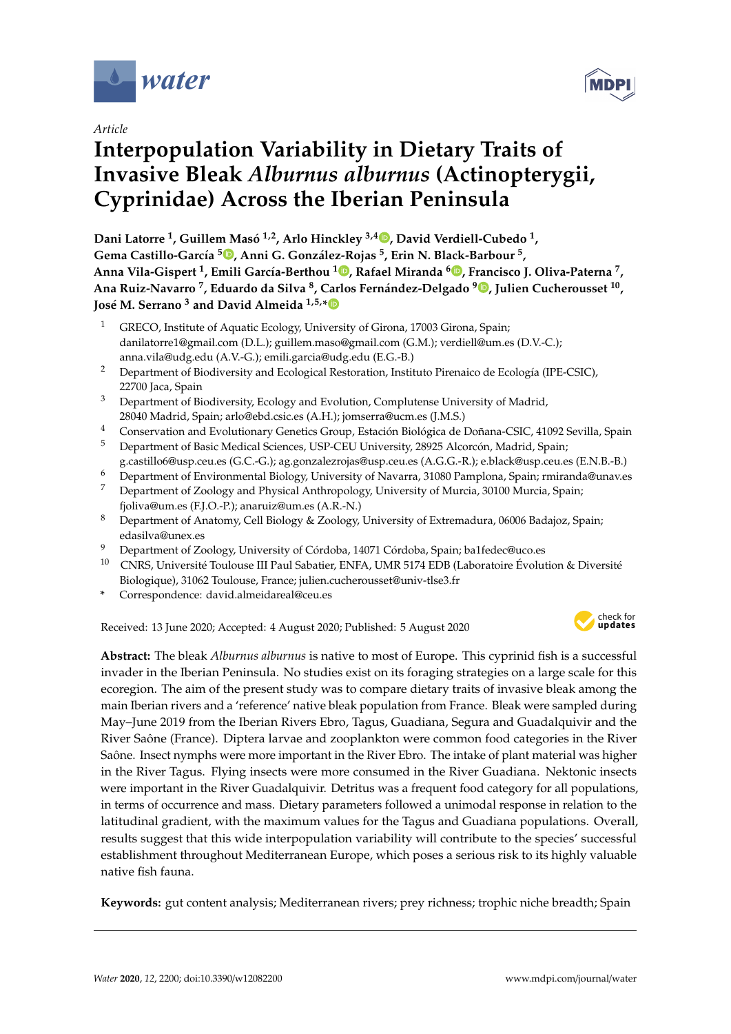

*Article*

# **Interpopulation Variability in Dietary Traits of Invasive Bleak** *Alburnus alburnus* **(Actinopterygii, Cyprinidae) Across the Iberian Peninsula**

**Dani Latorre <sup>1</sup> , Guillem Masó 1,2, Arlo Hinckley 3,4 [,](https://orcid.org/0000-0002-2412-4003) David Verdiell-Cubedo <sup>1</sup> , Gema Castillo-García 5 [,](https://orcid.org/0000-0003-1034-2138) Anni G. González-Rojas <sup>5</sup> , Erin N. Black-Barbour <sup>5</sup> , Anna Vila-Gispert <sup>1</sup> , Emili García-Berthou <sup>1</sup> [,](https://orcid.org/0000-0001-8412-741X) Rafael Miranda <sup>6</sup> [,](https://orcid.org/0000-0003-4798-314X) Francisco J. Oliva-Paterna <sup>7</sup> , Ana Ruiz-Navarro <sup>7</sup> , Eduardo da Silva <sup>8</sup> , Carlos Fernández-Delgado <sup>9</sup> [,](https://orcid.org/0000-0002-1359-435X) Julien Cucherousset <sup>10</sup> , José M. Serrano <sup>3</sup> and David Almeida 1,5,[\\*](https://orcid.org/0000-0003-0592-7174)**

- <sup>1</sup> GRECO, Institute of Aquatic Ecology, University of Girona, 17003 Girona, Spain; danilatorre1@gmail.com (D.L.); guillem.maso@gmail.com (G.M.); verdiell@um.es (D.V.-C.); anna.vila@udg.edu (A.V.-G.); emili.garcia@udg.edu (E.G.-B.)
- <sup>2</sup> Department of Biodiversity and Ecological Restoration, Instituto Pirenaico de Ecología (IPE-CSIC), 22700 Jaca, Spain
- <sup>3</sup> Department of Biodiversity, Ecology and Evolution, Complutense University of Madrid, 28040 Madrid, Spain; arlo@ebd.csic.es (A.H.); jomserra@ucm.es (J.M.S.)
- <sup>4</sup> Conservation and Evolutionary Genetics Group, Estación Biológica de Doñana-CSIC, 41092 Sevilla, Spain
- <sup>5</sup> Department of Basic Medical Sciences, USP-CEU University, 28925 Alcorcón, Madrid, Spain; g.castillo6@usp.ceu.es (G.C.-G.); ag.gonzalezrojas@usp.ceu.es (A.G.G.-R.); e.black@usp.ceu.es (E.N.B.-B.)
- <sup>6</sup> Department of Environmental Biology, University of Navarra, 31080 Pamplona, Spain; rmiranda@unav.es
- <sup>7</sup> Department of Zoology and Physical Anthropology, University of Murcia, 30100 Murcia, Spain; fjoliva@um.es (F.J.O.-P.); anaruiz@um.es (A.R.-N.)
- 8 Department of Anatomy, Cell Biology & Zoology, University of Extremadura, 06006 Badajoz, Spain; edasilva@unex.es
- <sup>9</sup> Department of Zoology, University of Córdoba, 14071 Córdoba, Spain; ba1fedec@uco.es
- <sup>10</sup> CNRS, Université Toulouse III Paul Sabatier, ENFA, UMR 5174 EDB (Laboratoire Évolution & Diversité Biologique), 31062 Toulouse, France; julien.cucherousset@univ-tlse3.fr
- **\*** Correspondence: david.almeidareal@ceu.es

Received: 13 June 2020; Accepted: 4 August 2020; Published: 5 August 2020



**Abstract:** The bleak *Alburnus alburnus* is native to most of Europe. This cyprinid fish is a successful invader in the Iberian Peninsula. No studies exist on its foraging strategies on a large scale for this ecoregion. The aim of the present study was to compare dietary traits of invasive bleak among the main Iberian rivers and a 'reference' native bleak population from France. Bleak were sampled during May–June 2019 from the Iberian Rivers Ebro, Tagus, Guadiana, Segura and Guadalquivir and the River Saône (France). Diptera larvae and zooplankton were common food categories in the River Saône. Insect nymphs were more important in the River Ebro. The intake of plant material was higher in the River Tagus. Flying insects were more consumed in the River Guadiana. Nektonic insects were important in the River Guadalquivir. Detritus was a frequent food category for all populations, in terms of occurrence and mass. Dietary parameters followed a unimodal response in relation to the latitudinal gradient, with the maximum values for the Tagus and Guadiana populations. Overall, results suggest that this wide interpopulation variability will contribute to the species' successful establishment throughout Mediterranean Europe, which poses a serious risk to its highly valuable native fish fauna.

**Keywords:** gut content analysis; Mediterranean rivers; prey richness; trophic niche breadth; Spain

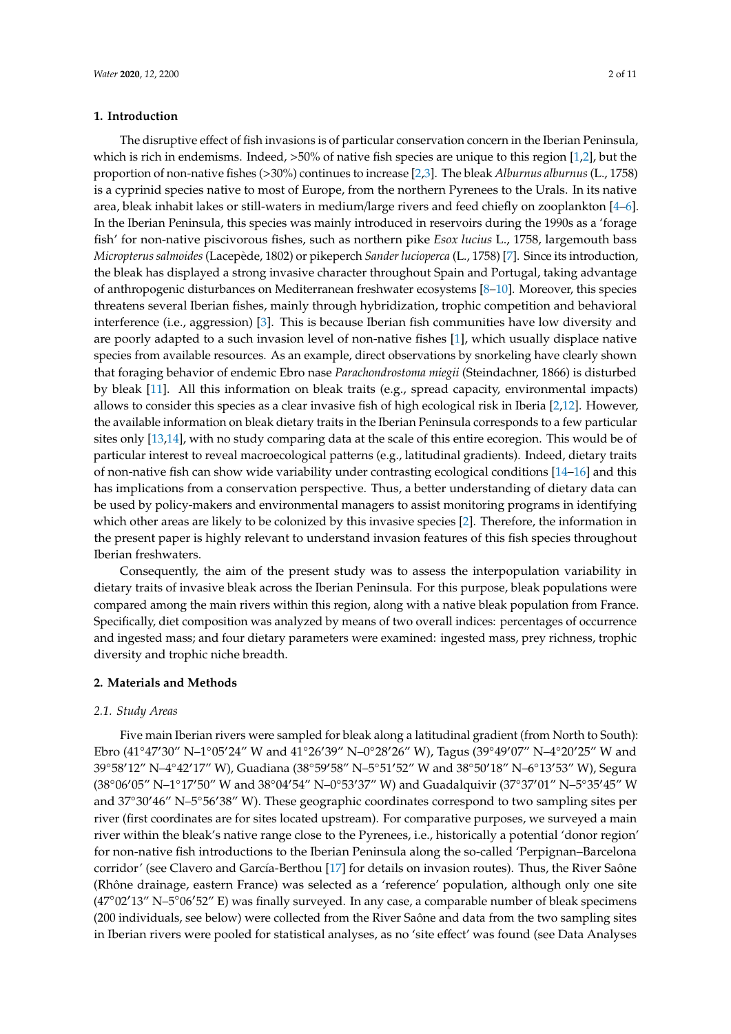# **1. Introduction**

The disruptive effect of fish invasions is of particular conservation concern in the Iberian Peninsula, which is rich in endemisms. Indeed, >50% of native fish species are unique to this region [\[1](#page-9-0)[,2\]](#page-9-1), but the proportion of non-native fishes (>30%) continues to increase [\[2](#page-9-1)[,3\]](#page-9-2). The bleak *Alburnus alburnus* (L., 1758) is a cyprinid species native to most of Europe, from the northern Pyrenees to the Urals. In its native area, bleak inhabit lakes or still-waters in medium/large rivers and feed chiefly on zooplankton [\[4–](#page-9-3)[6\]](#page-9-4). In the Iberian Peninsula, this species was mainly introduced in reservoirs during the 1990s as a 'forage fish' for non-native piscivorous fishes, such as northern pike *Esox lucius* L., 1758, largemouth bass *Micropterus salmoides* (Lacepède, 1802) or pikeperch *Sander lucioperca* (L., 1758) [\[7\]](#page-9-5). Since its introduction, the bleak has displayed a strong invasive character throughout Spain and Portugal, taking advantage of anthropogenic disturbances on Mediterranean freshwater ecosystems [\[8–](#page-9-6)[10\]](#page-9-7). Moreover, this species threatens several Iberian fishes, mainly through hybridization, trophic competition and behavioral interference (i.e., aggression) [\[3\]](#page-9-2). This is because Iberian fish communities have low diversity and are poorly adapted to a such invasion level of non-native fishes [\[1\]](#page-9-0), which usually displace native species from available resources. As an example, direct observations by snorkeling have clearly shown that foraging behavior of endemic Ebro nase *Parachondrostoma miegii* (Steindachner, 1866) is disturbed by bleak [\[11\]](#page-9-8). All this information on bleak traits (e.g., spread capacity, environmental impacts) allows to consider this species as a clear invasive fish of high ecological risk in Iberia [\[2,](#page-9-1)[12\]](#page-9-9). However, the available information on bleak dietary traits in the Iberian Peninsula corresponds to a few particular sites only [\[13](#page-9-10)[,14\]](#page-9-11), with no study comparing data at the scale of this entire ecoregion. This would be of particular interest to reveal macroecological patterns (e.g., latitudinal gradients). Indeed, dietary traits of non-native fish can show wide variability under contrasting ecological conditions [\[14](#page-9-11)[–16\]](#page-9-12) and this has implications from a conservation perspective. Thus, a better understanding of dietary data can be used by policy-makers and environmental managers to assist monitoring programs in identifying which other areas are likely to be colonized by this invasive species [\[2\]](#page-9-1). Therefore, the information in the present paper is highly relevant to understand invasion features of this fish species throughout Iberian freshwaters.

Consequently, the aim of the present study was to assess the interpopulation variability in dietary traits of invasive bleak across the Iberian Peninsula. For this purpose, bleak populations were compared among the main rivers within this region, along with a native bleak population from France. Specifically, diet composition was analyzed by means of two overall indices: percentages of occurrence and ingested mass; and four dietary parameters were examined: ingested mass, prey richness, trophic diversity and trophic niche breadth.

# **2. Materials and Methods**

# *2.1. Study Areas*

Five main Iberian rivers were sampled for bleak along a latitudinal gradient (from North to South): Ebro (41°47'30" N–1°05'24" W and 41°26'39" N–0°28'26" W), Tagus (39°49'07" N–4°20'25" W and 39°58'12" N-4°42'17" W), Guadiana (38°59'58" N-5°51'52" W and 38°50'18" N-6°13'53" W), Segura (38°06'05" N-1°17'50" W and 38°04'54" N-0°53'37" W) and Guadalquivir (37°37'01" N-5°35'45" W and 37°30′46" N–5°56′38" W). These geographic coordinates correspond to two sampling sites per river (first coordinates are for sites located upstream). For comparative purposes, we surveyed a main river within the bleak's native range close to the Pyrenees, i.e., historically a potential 'donor region' for non-native fish introductions to the Iberian Peninsula along the so-called 'Perpignan–Barcelona corridor' (see Clavero and García-Berthou [\[17\]](#page-9-13) for details on invasion routes). Thus, the River Saône (Rhône drainage, eastern France) was selected as a 'reference' population, although only one site ( $47°02'13''$  N–5°06'52" E) was finally surveyed. In any case, a comparable number of bleak specimens (200 individuals, see below) were collected from the River Saône and data from the two sampling sites in Iberian rivers were pooled for statistical analyses, as no 'site effect' was found (see Data Analyses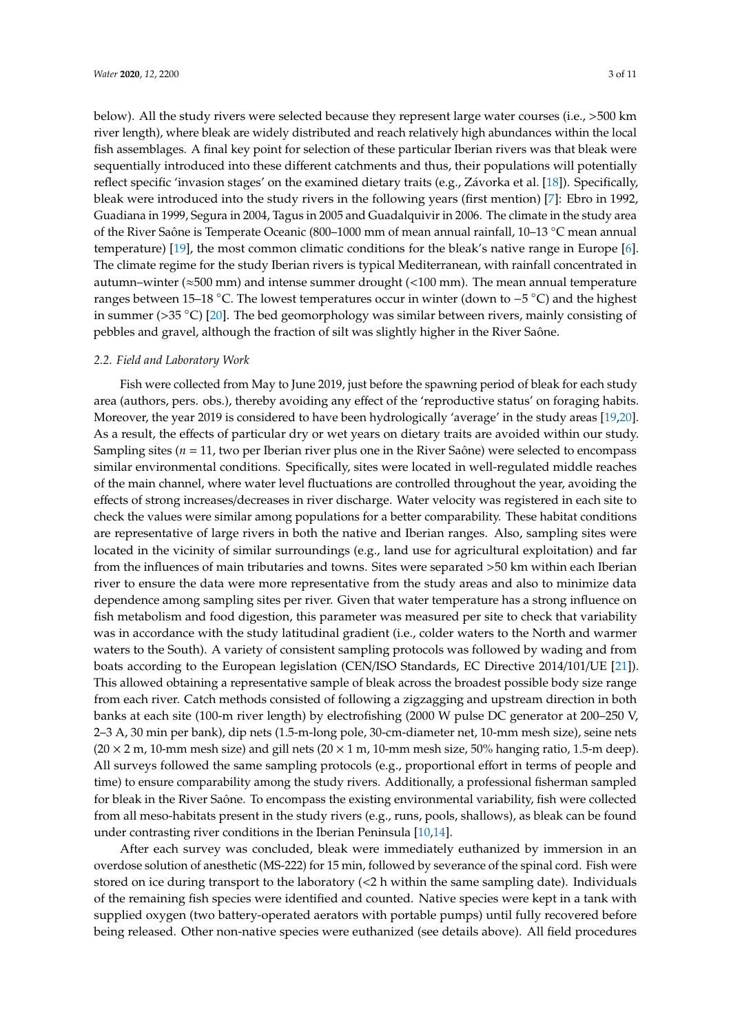below). All the study rivers were selected because they represent large water courses (i.e., >500 km river length), where bleak are widely distributed and reach relatively high abundances within the local fish assemblages. A final key point for selection of these particular Iberian rivers was that bleak were sequentially introduced into these different catchments and thus, their populations will potentially reflect specific 'invasion stages' on the examined dietary traits (e.g., Závorka et al. [\[18\]](#page-10-0)). Specifically, bleak were introduced into the study rivers in the following years (first mention) [\[7\]](#page-9-5): Ebro in 1992, Guadiana in 1999, Segura in 2004, Tagus in 2005 and Guadalquivir in 2006. The climate in the study area of the River Saône is Temperate Oceanic (800–1000 mm of mean annual rainfall, 10–13 ◦C mean annual temperature) [\[19\]](#page-10-1), the most common climatic conditions for the bleak's native range in Europe [\[6\]](#page-9-4). The climate regime for the study Iberian rivers is typical Mediterranean, with rainfall concentrated in autumn–winter ( $\approx$ 500 mm) and intense summer drought (<100 mm). The mean annual temperature ranges between 15–18 ◦C. The lowest temperatures occur in winter (down to −5 ◦C) and the highest in summer (>35 ◦C) [\[20\]](#page-10-2). The bed geomorphology was similar between rivers, mainly consisting of pebbles and gravel, although the fraction of silt was slightly higher in the River Saône.

#### *2.2. Field and Laboratory Work*

Fish were collected from May to June 2019, just before the spawning period of bleak for each study area (authors, pers. obs.), thereby avoiding any effect of the 'reproductive status' on foraging habits. Moreover, the year 2019 is considered to have been hydrologically 'average' in the study areas [\[19](#page-10-1)[,20\]](#page-10-2). As a result, the effects of particular dry or wet years on dietary traits are avoided within our study. Sampling sites ( $n = 11$ , two per Iberian river plus one in the River Saône) were selected to encompass similar environmental conditions. Specifically, sites were located in well-regulated middle reaches of the main channel, where water level fluctuations are controlled throughout the year, avoiding the effects of strong increases/decreases in river discharge. Water velocity was registered in each site to check the values were similar among populations for a better comparability. These habitat conditions are representative of large rivers in both the native and Iberian ranges. Also, sampling sites were located in the vicinity of similar surroundings (e.g., land use for agricultural exploitation) and far from the influences of main tributaries and towns. Sites were separated >50 km within each Iberian river to ensure the data were more representative from the study areas and also to minimize data dependence among sampling sites per river. Given that water temperature has a strong influence on fish metabolism and food digestion, this parameter was measured per site to check that variability was in accordance with the study latitudinal gradient (i.e., colder waters to the North and warmer waters to the South). A variety of consistent sampling protocols was followed by wading and from boats according to the European legislation (CEN/ISO Standards, EC Directive 2014/101/UE [\[21\]](#page-10-3)). This allowed obtaining a representative sample of bleak across the broadest possible body size range from each river. Catch methods consisted of following a zigzagging and upstream direction in both banks at each site (100-m river length) by electrofishing (2000 W pulse DC generator at 200–250 V, 2–3 A, 30 min per bank), dip nets (1.5-m-long pole, 30-cm-diameter net, 10-mm mesh size), seine nets  $(20 \times 2 \text{ m}, 10 \text{-mm mesh size})$  and gill nets  $(20 \times 1 \text{ m}, 10 \text{-mm mesh size}, 50\%$  hanging ratio, 1.5-m deep). All surveys followed the same sampling protocols (e.g., proportional effort in terms of people and time) to ensure comparability among the study rivers. Additionally, a professional fisherman sampled for bleak in the River Saône. To encompass the existing environmental variability, fish were collected from all meso-habitats present in the study rivers (e.g., runs, pools, shallows), as bleak can be found under contrasting river conditions in the Iberian Peninsula [\[10](#page-9-7)[,14\]](#page-9-11).

After each survey was concluded, bleak were immediately euthanized by immersion in an overdose solution of anesthetic (MS-222) for 15 min, followed by severance of the spinal cord. Fish were stored on ice during transport to the laboratory (<2 h within the same sampling date). Individuals of the remaining fish species were identified and counted. Native species were kept in a tank with supplied oxygen (two battery-operated aerators with portable pumps) until fully recovered before being released. Other non-native species were euthanized (see details above). All field procedures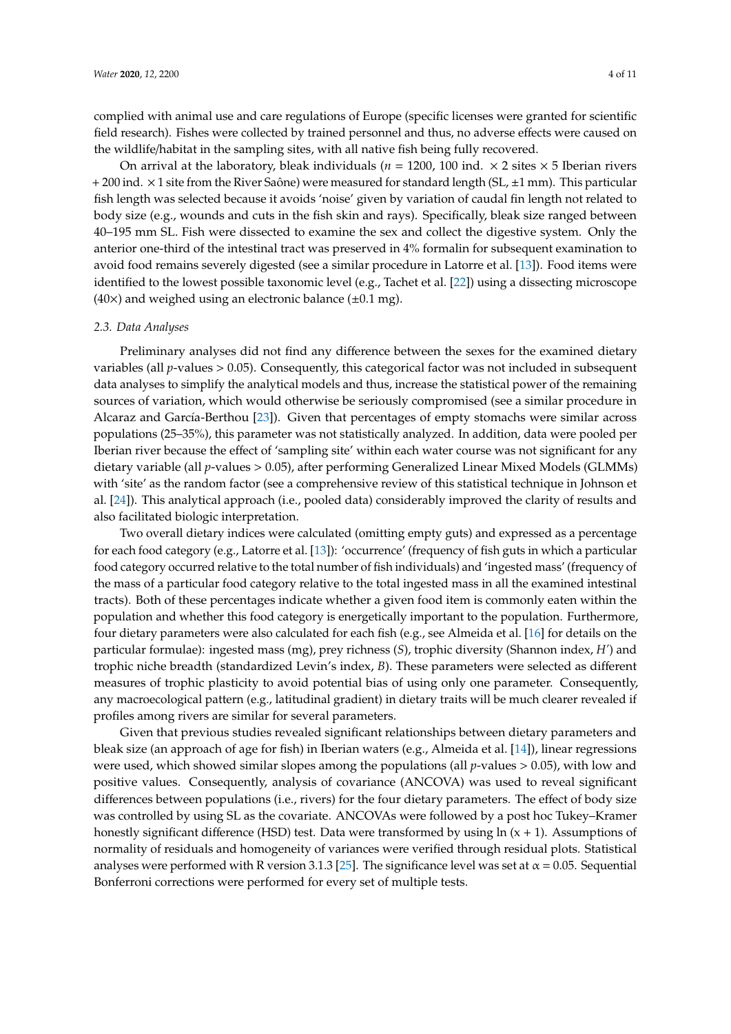complied with animal use and care regulations of Europe (specific licenses were granted for scientific field research). Fishes were collected by trained personnel and thus, no adverse effects were caused on the wildlife/habitat in the sampling sites, with all native fish being fully recovered.

On arrival at the laboratory, bleak individuals ( $n = 1200$ , 100 ind.  $\times$  2 sites  $\times$  5 Iberian rivers  $+ 200$  ind.  $\times$  1 site from the River Saône) were measured for standard length (SL,  $\pm$ 1 mm). This particular fish length was selected because it avoids 'noise' given by variation of caudal fin length not related to body size (e.g., wounds and cuts in the fish skin and rays). Specifically, bleak size ranged between 40–195 mm SL. Fish were dissected to examine the sex and collect the digestive system. Only the anterior one-third of the intestinal tract was preserved in 4% formalin for subsequent examination to avoid food remains severely digested (see a similar procedure in Latorre et al. [\[13\]](#page-9-10)). Food items were identified to the lowest possible taxonomic level (e.g., Tachet et al. [\[22\]](#page-10-4)) using a dissecting microscope  $(40\times)$  and weighed using an electronic balance  $(\pm 0.1 \text{ mg})$ .

### *2.3. Data Analyses*

Preliminary analyses did not find any difference between the sexes for the examined dietary variables (all *p*-values > 0.05). Consequently, this categorical factor was not included in subsequent data analyses to simplify the analytical models and thus, increase the statistical power of the remaining sources of variation, which would otherwise be seriously compromised (see a similar procedure in Alcaraz and García-Berthou [\[23\]](#page-10-5)). Given that percentages of empty stomachs were similar across populations (25–35%), this parameter was not statistically analyzed. In addition, data were pooled per Iberian river because the effect of 'sampling site' within each water course was not significant for any dietary variable (all *p*-values > 0.05), after performing Generalized Linear Mixed Models (GLMMs) with 'site' as the random factor (see a comprehensive review of this statistical technique in Johnson et al. [\[24\]](#page-10-6)). This analytical approach (i.e., pooled data) considerably improved the clarity of results and also facilitated biologic interpretation.

Two overall dietary indices were calculated (omitting empty guts) and expressed as a percentage for each food category (e.g., Latorre et al. [\[13\]](#page-9-10)): 'occurrence' (frequency of fish guts in which a particular food category occurred relative to the total number of fish individuals) and 'ingested mass' (frequency of the mass of a particular food category relative to the total ingested mass in all the examined intestinal tracts). Both of these percentages indicate whether a given food item is commonly eaten within the population and whether this food category is energetically important to the population. Furthermore, four dietary parameters were also calculated for each fish (e.g., see Almeida et al. [\[16\]](#page-9-12) for details on the particular formulae): ingested mass (mg), prey richness (*S*), trophic diversity (Shannon index, *H'*) and trophic niche breadth (standardized Levin's index, *B*). These parameters were selected as different measures of trophic plasticity to avoid potential bias of using only one parameter. Consequently, any macroecological pattern (e.g., latitudinal gradient) in dietary traits will be much clearer revealed if profiles among rivers are similar for several parameters.

Given that previous studies revealed significant relationships between dietary parameters and bleak size (an approach of age for fish) in Iberian waters (e.g., Almeida et al. [\[14\]](#page-9-11)), linear regressions were used, which showed similar slopes among the populations (all *p*-values > 0.05), with low and positive values. Consequently, analysis of covariance (ANCOVA) was used to reveal significant differences between populations (i.e., rivers) for the four dietary parameters. The effect of body size was controlled by using SL as the covariate. ANCOVAs were followed by a post hoc Tukey–Kramer honestly significant difference (HSD) test. Data were transformed by using  $\ln(x + 1)$ . Assumptions of normality of residuals and homogeneity of variances were verified through residual plots. Statistical analyses were performed with R version 3.1.3 [\[25\]](#page-10-7). The significance level was set at  $\alpha$  = 0.05. Sequential Bonferroni corrections were performed for every set of multiple tests.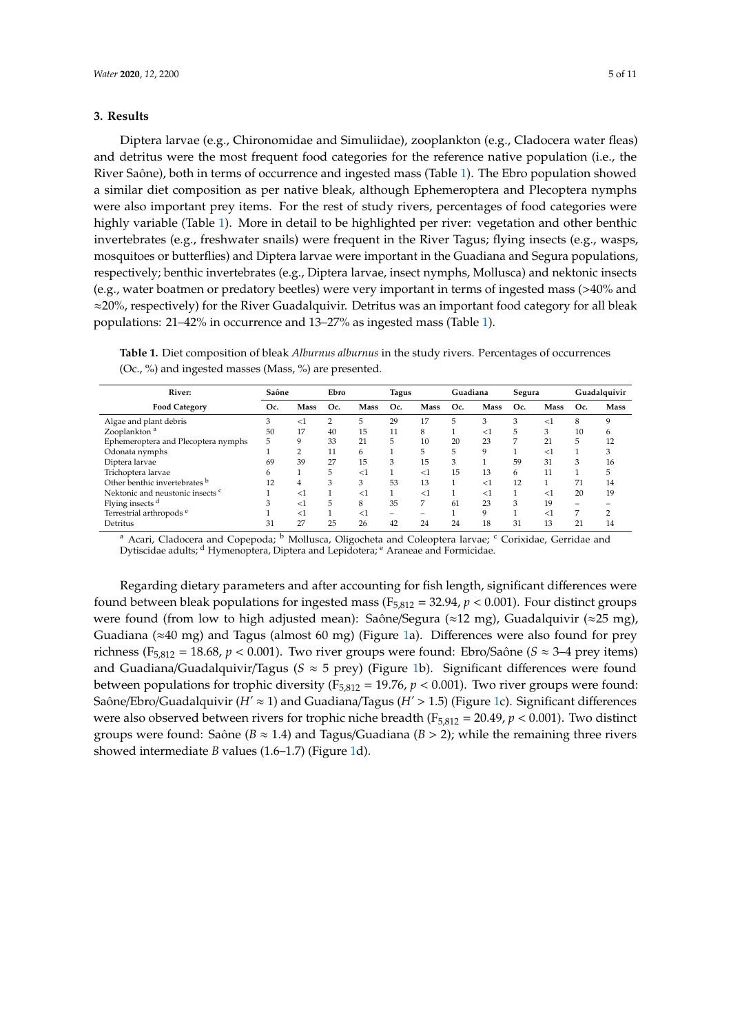# **3. Results**

Diptera larvae (e.g., Chironomidae and Simuliidae), zooplankton (e.g., Cladocera water fleas) and detritus were the most frequent food categories for the reference native population (i.e., the River Saône), both in terms of occurrence and ingested mass (Table [1\)](#page-4-0). The Ebro population showed a similar diet composition as per native bleak, although Ephemeroptera and Plecoptera nymphs were also important prey items. For the rest of study rivers, percentages of food categories were highly variable (Table [1\)](#page-4-0). More in detail to be highlighted per river: vegetation and other benthic invertebrates (e.g., freshwater snails) were frequent in the River Tagus; flying insects (e.g., wasps, mosquitoes or butterflies) and Diptera larvae were important in the Guadiana and Segura populations, respectively; benthic invertebrates (e.g., Diptera larvae, insect nymphs, Mollusca) and nektonic insects (e.g., water boatmen or predatory beetles) were very important in terms of ingested mass (>40% and ≈20%, respectively) for the River Guadalquivir. Detritus was an important food category for all bleak populations: 21–42% in occurrence and 13–27% as ingested mass (Table [1\)](#page-4-0).

<span id="page-4-0"></span>**Table 1.** Diet composition of bleak *Alburnus alburnus* in the study rivers. Percentages of occurrences (Oc., %) and ingested masses (Mass, %) are presented.

| River:                                      | Saône |       | Ebro |      | Tagus |      |     | Guadiana |     | Segura |                          | Guadalquivir |  |
|---------------------------------------------|-------|-------|------|------|-------|------|-----|----------|-----|--------|--------------------------|--------------|--|
| <b>Food Category</b>                        | Oc.   | Mass  | Oc.  | Mass | Oc.   | Mass | Oc. | Mass     | Oc. | Mass   | Oc.                      | Mass         |  |
| Algae and plant debris                      | 3     | $<$ 1 | 2    | 5    | 29    | 17   | 5   | 3        | 3   | <1     | 8                        | 9            |  |
| Zooplankton <sup>a</sup>                    | 50    | 17    | 40   | 15   | 11    | 8    |     | $<$ 1    | 5   | 3      | 10                       | 6            |  |
| Ephemeroptera and Plecoptera nymphs         | 5     | 9     | 33   | 21   | 5     | 10   | 20  | 23       | 7   | 21     | 5                        | 12           |  |
| Odonata nymphs                              |       | 2     | 11   | 6    |       | 5    | 5   | 9        |     | $<$ 1  |                          | 3            |  |
| Diptera larvae                              | 69    | 39    | 27   | 15   | 3     | 15   | 3   |          | 59  | 31     | 3                        | 16           |  |
| Trichoptera larvae                          | h     |       | 5    | <1   |       | <1   | 15  | 13       | 6   | 11     |                          | 5            |  |
| Other benthic invertebrates b               | 12    | 4     | 3    | 3    | 53    | 13   |     | $<$ 1    | 12  |        | 71                       | 14           |  |
| Nektonic and neustonic insects <sup>c</sup> |       | $<$ 1 |      | <1   |       | <1   |     | $<$ 1    |     | <1     | 20                       | 19           |  |
| Flying insects <sup>d</sup>                 | 3     | $<$ 1 | 5    | 8    | 35    | 7    | 61  | 23       | 3   | 19     | $\overline{\phantom{0}}$ |              |  |
| Terrestrial arthropods <sup>e</sup>         |       | $<$ 1 |      | <1   |       |      |     | 9        |     | <1     | 7                        | C            |  |
| Detritus                                    | 31    | 27    | 25   | 26   | 42    | 24   | 24  | 18       | 31  | 13     | 21                       | 14           |  |

<sup>a</sup> Acari, Cladocera and Copepoda;  $\frac{b}{c}$  Mollusca, Oligocheta and Coleoptera larvae;  $\frac{c}{c}$  Corixidae, Gerridae and Dytiscidae adults; <sup>d</sup> Hymenoptera, Diptera and Lepidotera; <sup>e</sup> Araneae and Formicidae.

Regarding dietary parameters and after accounting for fish length, significant differences were found between bleak populations for ingested mass  $(F_{5,812} = 32.94, p < 0.001)$ . Four distinct groups were found (from low to high adjusted mean): Saône/Segura (≈12 mg), Guadalquivir (≈25 mg), Guadiana (≈40 mg) and Tagus (almost 60 mg) (Figure [1a](#page-6-0)). Differences were also found for prey richness (F<sub>5,812</sub> = 18.68, *p* < 0.001). Two river groups were found: Ebro/Saône ( $S \approx 3-4$  prey items) and Guadiana/Guadalquivir/Tagus ( $S \approx 5$  prey) (Figure [1b](#page-6-0)). Significant differences were found between populations for trophic diversity ( $F_{5,812} = 19.76$ ,  $p < 0.001$ ). Two river groups were found: Saône/Ebro/Guadalquivir (*H'* ≈ 1) and Guadiana/Tagus (*H'* > 1.5) (Figure [1c](#page-6-0)). Significant differences were also observed between rivers for trophic niche breadth (F<sub>5,812</sub> = 20.49,  $p < 0.001$ ). Two distinct groups were found: Saône ( $B \approx 1.4$ ) and Tagus/Guadiana ( $B > 2$ ); while the remaining three rivers showed intermediate *B* values (1.6–1.7) (Figure [1d](#page-6-0)).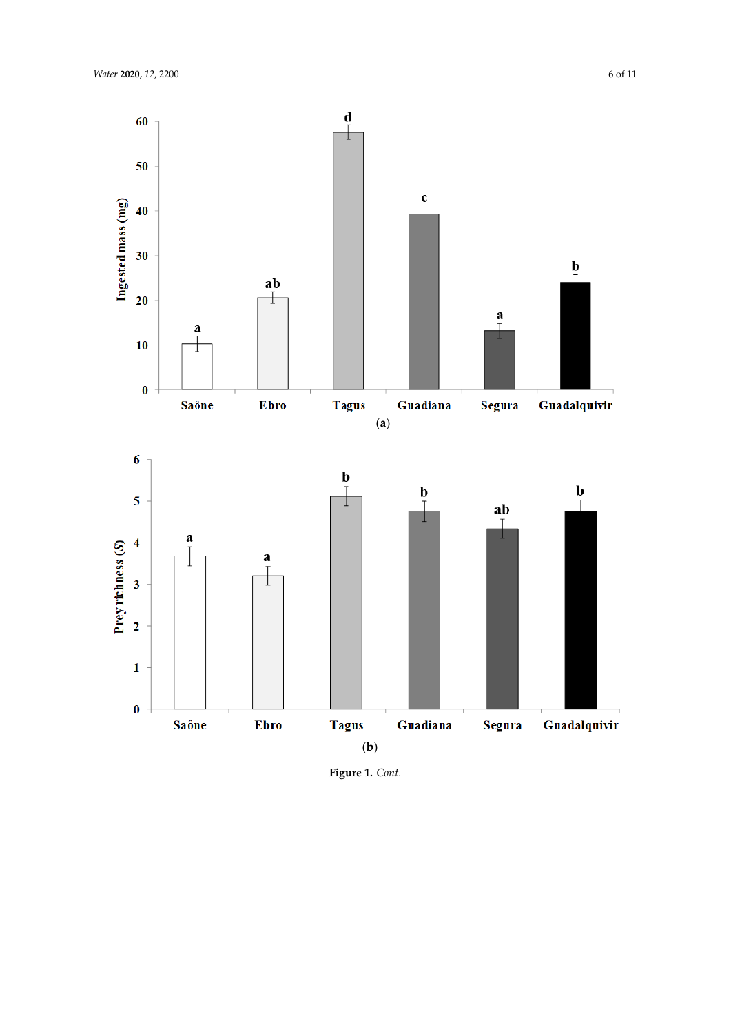

**Figure 1.** *Cont.*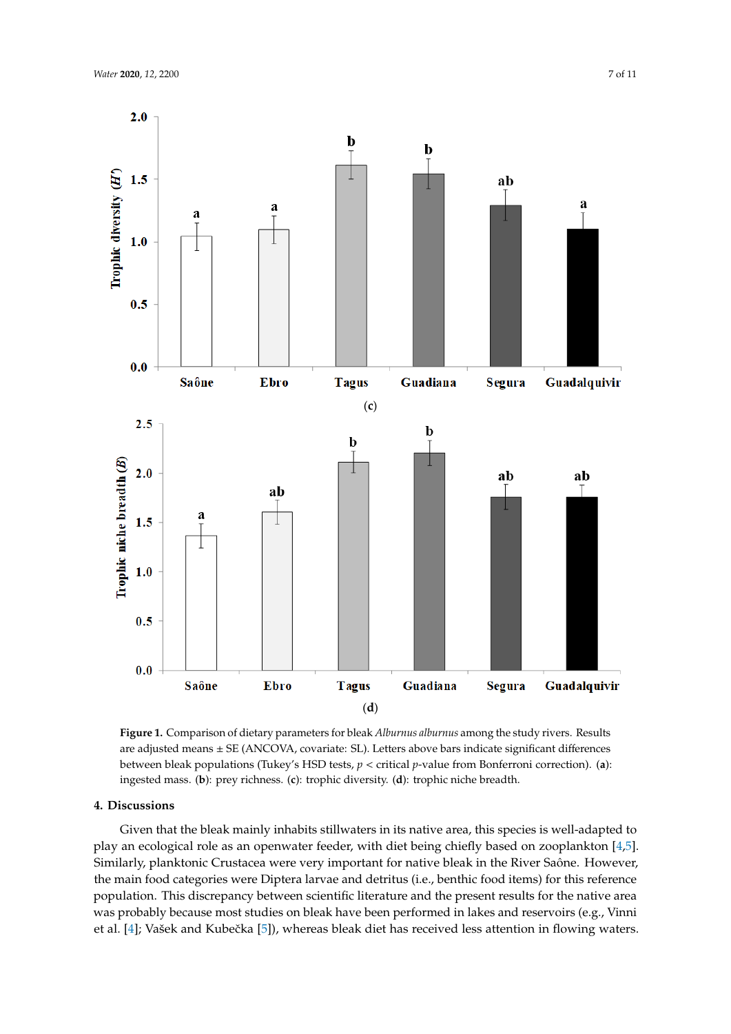<span id="page-6-0"></span>

Figure 1. Comparison of dietary parameters for bleak Alburnus alburnus among the study rivers. Results are adjusted means ± SE (ANCOVA, covariate: SL). Letters above bars indicate significant differences between bleak populations (Tukey's HSD tests,  $p <$  critical p-value from Bonferroni correction). (a): ingested mass. (b): prey richness. (c): trophic diversity. (d): trophic niche breadth.

# **4. Discussions 4. Discussions**

Given that the bleak mainly inhabits stillwaters in its native area, this species is well-adapted to Given that the bleak mainly inhabits stillwaters in its native area, this species is well-adapted to play an ecological role as an openwater feeder, with diet being chiefly based on zooplankton [4,5]. play an ecological role as an openwater feeder, with diet being chiefly based on zooplankton [\[4,](#page-9-3)[5\]](#page-9-14). Similarly, planktonic Crustacea were very important for native bleak in the River Saône. However, Similarly, planktonic Crustacea were very important for native bleak in the River Saône. However, the main food categories were Diptera larvae and detritus (i.e., benthic food items) for this reference the main food categories were Diptera larvae and detritus (i.e., benthic food items) for this reference population. This discrepancy between scientific literature and the present results for the native area population. This discrepancy between scientific literature and the present results for the native area was probably because most studies on bleak have been performed in lakes and reservoirs (e.g., Vinni was probably because most studies on bleak have been performed in lakes and reservoirs (e.g., Vinni et al. [\[4\]](#page-9-3); Vašek and Kubečka [\[5\]](#page-9-14)), whereas bleak diet has received less attention in flowing waters.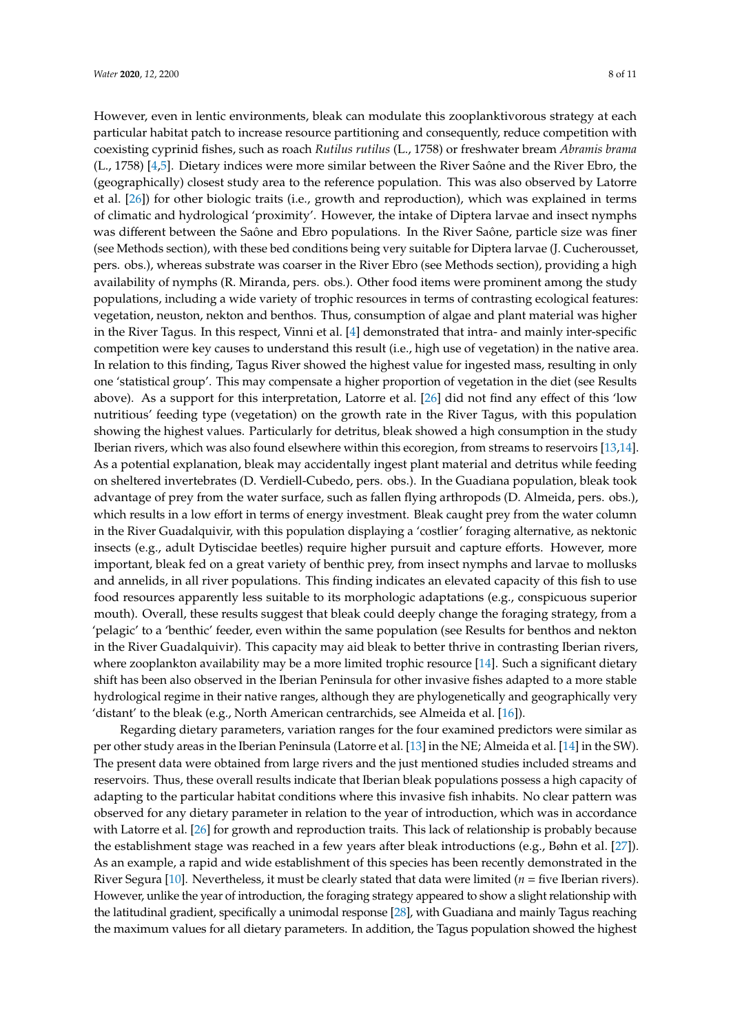However, even in lentic environments, bleak can modulate this zooplanktivorous strategy at each particular habitat patch to increase resource partitioning and consequently, reduce competition with coexisting cyprinid fishes, such as roach *Rutilus rutilus* (L., 1758) or freshwater bream *Abramis brama* (L., 1758) [\[4](#page-9-3)[,5\]](#page-9-14). Dietary indices were more similar between the River Saône and the River Ebro, the (geographically) closest study area to the reference population. This was also observed by Latorre et al. [\[26\]](#page-10-8)) for other biologic traits (i.e., growth and reproduction), which was explained in terms of climatic and hydrological 'proximity'. However, the intake of Diptera larvae and insect nymphs was different between the Saône and Ebro populations. In the River Saône, particle size was finer (see Methods section), with these bed conditions being very suitable for Diptera larvae (J. Cucherousset, pers. obs.), whereas substrate was coarser in the River Ebro (see Methods section), providing a high availability of nymphs (R. Miranda, pers. obs.). Other food items were prominent among the study populations, including a wide variety of trophic resources in terms of contrasting ecological features: vegetation, neuston, nekton and benthos. Thus, consumption of algae and plant material was higher in the River Tagus. In this respect, Vinni et al. [\[4\]](#page-9-3) demonstrated that intra- and mainly inter-specific competition were key causes to understand this result (i.e., high use of vegetation) in the native area. In relation to this finding, Tagus River showed the highest value for ingested mass, resulting in only one 'statistical group'. This may compensate a higher proportion of vegetation in the diet (see Results above). As a support for this interpretation, Latorre et al. [\[26\]](#page-10-8) did not find any effect of this 'low nutritious' feeding type (vegetation) on the growth rate in the River Tagus, with this population showing the highest values. Particularly for detritus, bleak showed a high consumption in the study Iberian rivers, which was also found elsewhere within this ecoregion, from streams to reservoirs [\[13](#page-9-10)[,14\]](#page-9-11). As a potential explanation, bleak may accidentally ingest plant material and detritus while feeding on sheltered invertebrates (D. Verdiell-Cubedo, pers. obs.). In the Guadiana population, bleak took advantage of prey from the water surface, such as fallen flying arthropods (D. Almeida, pers. obs.), which results in a low effort in terms of energy investment. Bleak caught prey from the water column in the River Guadalquivir, with this population displaying a 'costlier' foraging alternative, as nektonic insects (e.g., adult Dytiscidae beetles) require higher pursuit and capture efforts. However, more important, bleak fed on a great variety of benthic prey, from insect nymphs and larvae to mollusks and annelids, in all river populations. This finding indicates an elevated capacity of this fish to use food resources apparently less suitable to its morphologic adaptations (e.g., conspicuous superior mouth). Overall, these results suggest that bleak could deeply change the foraging strategy, from a 'pelagic' to a 'benthic' feeder, even within the same population (see Results for benthos and nekton in the River Guadalquivir). This capacity may aid bleak to better thrive in contrasting Iberian rivers, where zooplankton availability may be a more limited trophic resource [\[14\]](#page-9-11). Such a significant dietary shift has been also observed in the Iberian Peninsula for other invasive fishes adapted to a more stable hydrological regime in their native ranges, although they are phylogenetically and geographically very 'distant' to the bleak (e.g., North American centrarchids, see Almeida et al. [\[16\]](#page-9-12)).

Regarding dietary parameters, variation ranges for the four examined predictors were similar as per other study areas in the Iberian Peninsula (Latorre et al. [\[13\]](#page-9-10) in the NE; Almeida et al. [\[14\]](#page-9-11) in the SW). The present data were obtained from large rivers and the just mentioned studies included streams and reservoirs. Thus, these overall results indicate that Iberian bleak populations possess a high capacity of adapting to the particular habitat conditions where this invasive fish inhabits. No clear pattern was observed for any dietary parameter in relation to the year of introduction, which was in accordance with Latorre et al. [\[26\]](#page-10-8) for growth and reproduction traits. This lack of relationship is probably because the establishment stage was reached in a few years after bleak introductions (e.g., Bøhn et al. [\[27\]](#page-10-9)). As an example, a rapid and wide establishment of this species has been recently demonstrated in the River Segura [\[10\]](#page-9-7). Nevertheless, it must be clearly stated that data were limited (*n* = five Iberian rivers). However, unlike the year of introduction, the foraging strategy appeared to show a slight relationship with the latitudinal gradient, specifically a unimodal response [\[28\]](#page-10-10), with Guadiana and mainly Tagus reaching the maximum values for all dietary parameters. In addition, the Tagus population showed the highest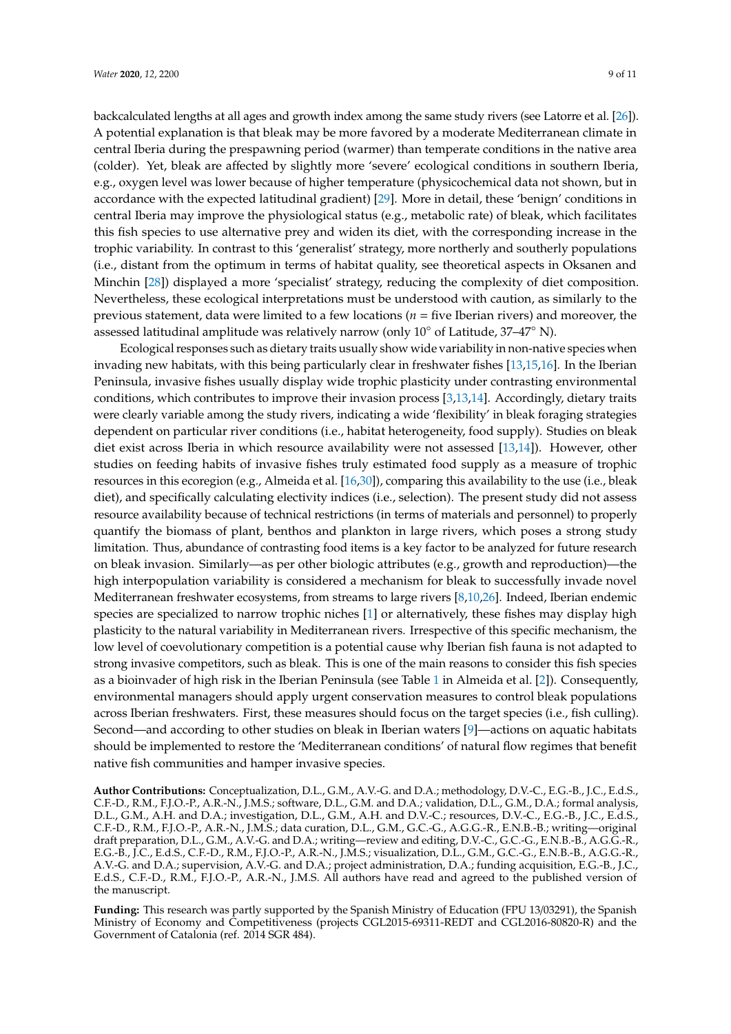backcalculated lengths at all ages and growth index among the same study rivers (see Latorre et al. [\[26\]](#page-10-8)). A potential explanation is that bleak may be more favored by a moderate Mediterranean climate in central Iberia during the prespawning period (warmer) than temperate conditions in the native area (colder). Yet, bleak are affected by slightly more 'severe' ecological conditions in southern Iberia, e.g., oxygen level was lower because of higher temperature (physicochemical data not shown, but in accordance with the expected latitudinal gradient) [\[29\]](#page-10-11). More in detail, these 'benign' conditions in central Iberia may improve the physiological status (e.g., metabolic rate) of bleak, which facilitates this fish species to use alternative prey and widen its diet, with the corresponding increase in the trophic variability. In contrast to this 'generalist' strategy, more northerly and southerly populations (i.e., distant from the optimum in terms of habitat quality, see theoretical aspects in Oksanen and Minchin [\[28\]](#page-10-10)) displayed a more 'specialist' strategy, reducing the complexity of diet composition. Nevertheless, these ecological interpretations must be understood with caution, as similarly to the previous statement, data were limited to a few locations (*n* = five Iberian rivers) and moreover, the assessed latitudinal amplitude was relatively narrow (only 10◦ of Latitude, 37–47◦ N).

Ecological responses such as dietary traits usually show wide variability in non-native species when invading new habitats, with this being particularly clear in freshwater fishes [\[13,](#page-9-10)[15,](#page-9-15)[16\]](#page-9-12). In the Iberian Peninsula, invasive fishes usually display wide trophic plasticity under contrasting environmental conditions, which contributes to improve their invasion process [\[3](#page-9-2)[,13](#page-9-10)[,14\]](#page-9-11). Accordingly, dietary traits were clearly variable among the study rivers, indicating a wide 'flexibility' in bleak foraging strategies dependent on particular river conditions (i.e., habitat heterogeneity, food supply). Studies on bleak diet exist across Iberia in which resource availability were not assessed [\[13,](#page-9-10)[14\]](#page-9-11)). However, other studies on feeding habits of invasive fishes truly estimated food supply as a measure of trophic resources in this ecoregion (e.g., Almeida et al. [\[16,](#page-9-12)[30\]](#page-10-12)), comparing this availability to the use (i.e., bleak diet), and specifically calculating electivity indices (i.e., selection). The present study did not assess resource availability because of technical restrictions (in terms of materials and personnel) to properly quantify the biomass of plant, benthos and plankton in large rivers, which poses a strong study limitation. Thus, abundance of contrasting food items is a key factor to be analyzed for future research on bleak invasion. Similarly—as per other biologic attributes (e.g., growth and reproduction)—the high interpopulation variability is considered a mechanism for bleak to successfully invade novel Mediterranean freshwater ecosystems, from streams to large rivers [\[8](#page-9-6)[,10](#page-9-7)[,26\]](#page-10-8). Indeed, Iberian endemic species are specialized to narrow trophic niches [\[1\]](#page-9-0) or alternatively, these fishes may display high plasticity to the natural variability in Mediterranean rivers. Irrespective of this specific mechanism, the low level of coevolutionary competition is a potential cause why Iberian fish fauna is not adapted to strong invasive competitors, such as bleak. This is one of the main reasons to consider this fish species as a bioinvader of high risk in the Iberian Peninsula (see Table [1](#page-4-0) in Almeida et al. [\[2\]](#page-9-1)). Consequently, environmental managers should apply urgent conservation measures to control bleak populations across Iberian freshwaters. First, these measures should focus on the target species (i.e., fish culling). Second—and according to other studies on bleak in Iberian waters [\[9\]](#page-9-16)—actions on aquatic habitats should be implemented to restore the 'Mediterranean conditions' of natural flow regimes that benefit native fish communities and hamper invasive species.

**Author Contributions:** Conceptualization, D.L., G.M., A.V.-G. and D.A.; methodology, D.V.-C., E.G.-B., J.C., E.d.S., C.F.-D., R.M., F.J.O.-P., A.R.-N., J.M.S.; software, D.L., G.M. and D.A.; validation, D.L., G.M., D.A.; formal analysis, D.L., G.M., A.H. and D.A.; investigation, D.L., G.M., A.H. and D.V.-C.; resources, D.V.-C., E.G.-B., J.C., E.d.S., C.F.-D., R.M., F.J.O.-P., A.R.-N., J.M.S.; data curation, D.L., G.M., G.C.-G., A.G.G.-R., E.N.B.-B.; writing—original draft preparation, D.L., G.M., A.V.-G. and D.A.; writing—review and editing, D.V.-C., G.C.-G., E.N.B.-B., A.G.G.-R., E.G.-B., J.C., E.d.S., C.F.-D., R.M., F.J.O.-P., A.R.-N., J.M.S.; visualization, D.L., G.M., G.C.-G., E.N.B.-B., A.G.G.-R., A.V.-G. and D.A.; supervision, A.V.-G. and D.A.; project administration, D.A.; funding acquisition, E.G.-B., J.C., E.d.S., C.F.-D., R.M., F.J.O.-P., A.R.-N., J.M.S. All authors have read and agreed to the published version of the manuscript.

**Funding:** This research was partly supported by the Spanish Ministry of Education (FPU 13/03291), the Spanish Ministry of Economy and Competitiveness (projects CGL2015-69311-REDT and CGL2016-80820-R) and the Government of Catalonia (ref. 2014 SGR 484).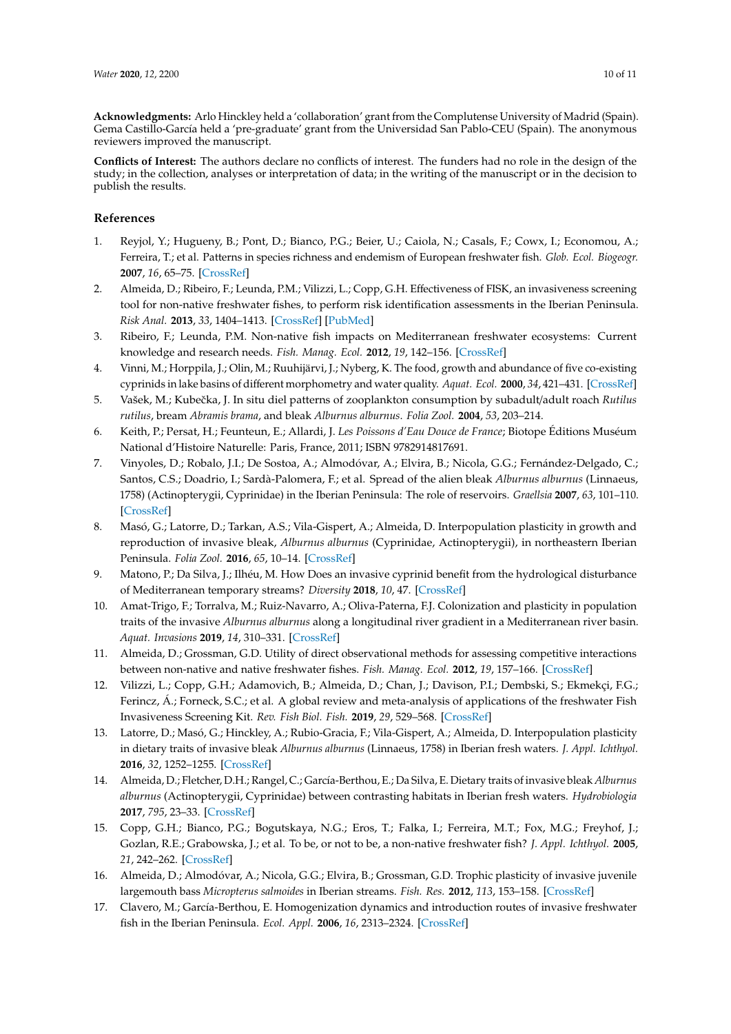**Acknowledgments:** Arlo Hinckley held a 'collaboration' grant from the Complutense University of Madrid (Spain). Gema Castillo-García held a 'pre-graduate' grant from the Universidad San Pablo-CEU (Spain). The anonymous reviewers improved the manuscript.

**Conflicts of Interest:** The authors declare no conflicts of interest. The funders had no role in the design of the study; in the collection, analyses or interpretation of data; in the writing of the manuscript or in the decision to publish the results.

# **References**

- <span id="page-9-0"></span>1. Reyjol, Y.; Hugueny, B.; Pont, D.; Bianco, P.G.; Beier, U.; Caiola, N.; Casals, F.; Cowx, I.; Economou, A.; Ferreira, T.; et al. Patterns in species richness and endemism of European freshwater fish. *Glob. Ecol. Biogeogr.* **2007**, *16*, 65–75. [\[CrossRef\]](http://dx.doi.org/10.1111/j.1466-8238.2006.00264.x)
- <span id="page-9-1"></span>2. Almeida, D.; Ribeiro, F.; Leunda, P.M.; Vilizzi, L.; Copp, G.H. Effectiveness of FISK, an invasiveness screening tool for non-native freshwater fishes, to perform risk identification assessments in the Iberian Peninsula. *Risk Anal.* **2013**, *33*, 1404–1413. [\[CrossRef\]](http://dx.doi.org/10.1111/risa.12050) [\[PubMed\]](http://www.ncbi.nlm.nih.gov/pubmed/23614530)
- <span id="page-9-2"></span>3. Ribeiro, F.; Leunda, P.M. Non-native fish impacts on Mediterranean freshwater ecosystems: Current knowledge and research needs. *Fish. Manag. Ecol.* **2012**, *19*, 142–156. [\[CrossRef\]](http://dx.doi.org/10.1111/j.1365-2400.2011.00842.x)
- <span id="page-9-3"></span>4. Vinni, M.; Horppila, J.; Olin, M.; Ruuhijärvi, J.; Nyberg, K. The food, growth and abundance of five co-existing cyprinids in lake basins of different morphometry and water quality. *Aquat. Ecol.* **2000**, *34*, 421–431. [\[CrossRef\]](http://dx.doi.org/10.1023/A:1011404721775)
- <span id="page-9-14"></span>5. Vašek, M.; Kubeˇcka, J. In situ diel patterns of zooplankton consumption by subadult/adult roach *Rutilus rutilus*, bream *Abramis brama*, and bleak *Alburnus alburnus*. *Folia Zool.* **2004**, *53*, 203–214.
- <span id="page-9-4"></span>6. Keith, P.; Persat, H.; Feunteun, E.; Allardi, J. *Les Poissons d'Eau Douce de France*; Biotope Éditions Muséum National d'Histoire Naturelle: Paris, France, 2011; ISBN 9782914817691.
- <span id="page-9-5"></span>7. Vinyoles, D.; Robalo, J.I.; De Sostoa, A.; Almodóvar, A.; Elvira, B.; Nicola, G.G.; Fernández-Delgado, C.; Santos, C.S.; Doadrio, I.; Sardà-Palomera, F.; et al. Spread of the alien bleak *Alburnus alburnus* (Linnaeus, 1758) (Actinopterygii, Cyprinidae) in the Iberian Peninsula: The role of reservoirs. *Graellsia* **2007**, *63*, 101–110. [\[CrossRef\]](http://dx.doi.org/10.3989/graellsia.2007.v63.i1.84)
- <span id="page-9-6"></span>8. Masó, G.; Latorre, D.; Tarkan, A.S.; Vila-Gispert, A.; Almeida, D. Interpopulation plasticity in growth and reproduction of invasive bleak, *Alburnus alburnus* (Cyprinidae, Actinopterygii), in northeastern Iberian Peninsula. *Folia Zool.* **2016**, *65*, 10–14. [\[CrossRef\]](http://dx.doi.org/10.25225/fozo.v65.i1.a3.2016)
- <span id="page-9-16"></span>9. Matono, P.; Da Silva, J.; Ilhéu, M. How Does an invasive cyprinid benefit from the hydrological disturbance of Mediterranean temporary streams? *Diversity* **2018**, *10*, 47. [\[CrossRef\]](http://dx.doi.org/10.3390/d10020047)
- <span id="page-9-7"></span>10. Amat-Trigo, F.; Torralva, M.; Ruiz-Navarro, A.; Oliva-Paterna, F.J. Colonization and plasticity in population traits of the invasive *Alburnus alburnus* along a longitudinal river gradient in a Mediterranean river basin. *Aquat. Invasions* **2019**, *14*, 310–331. [\[CrossRef\]](http://dx.doi.org/10.3391/ai.2019.14.2.10)
- <span id="page-9-8"></span>11. Almeida, D.; Grossman, G.D. Utility of direct observational methods for assessing competitive interactions between non-native and native freshwater fishes. *Fish. Manag. Ecol.* **2012**, *19*, 157–166. [\[CrossRef\]](http://dx.doi.org/10.1111/j.1365-2400.2012.00847.x)
- <span id="page-9-9"></span>12. Vilizzi, L.; Copp, G.H.; Adamovich, B.; Almeida, D.; Chan, J.; Davison, P.I.; Dembski, S.; Ekmekçi, F.G.; Ferincz, Á.; Forneck, S.C.; et al. A global review and meta-analysis of applications of the freshwater Fish Invasiveness Screening Kit. *Rev. Fish Biol. Fish.* **2019**, *29*, 529–568. [\[CrossRef\]](http://dx.doi.org/10.1007/s11160-019-09562-2)
- <span id="page-9-10"></span>13. Latorre, D.; Masó, G.; Hinckley, A.; Rubio-Gracia, F.; Vila-Gispert, A.; Almeida, D. Interpopulation plasticity in dietary traits of invasive bleak *Alburnus alburnus* (Linnaeus, 1758) in Iberian fresh waters. *J. Appl. Ichthyol.* **2016**, *32*, 1252–1255. [\[CrossRef\]](http://dx.doi.org/10.1111/jai.13186)
- <span id="page-9-11"></span>14. Almeida, D.; Fletcher, D.H.; Rangel, C.; García-Berthou, E.; Da Silva, E. Dietary traits of invasive bleak *Alburnus alburnus* (Actinopterygii, Cyprinidae) between contrasting habitats in Iberian fresh waters. *Hydrobiologia* **2017**, *795*, 23–33. [\[CrossRef\]](http://dx.doi.org/10.1007/s10750-016-3052-8)
- <span id="page-9-15"></span>15. Copp, G.H.; Bianco, P.G.; Bogutskaya, N.G.; Eros, T.; Falka, I.; Ferreira, M.T.; Fox, M.G.; Freyhof, J.; Gozlan, R.E.; Grabowska, J.; et al. To be, or not to be, a non-native freshwater fish? *J. Appl. Ichthyol.* **2005**, *21*, 242–262. [\[CrossRef\]](http://dx.doi.org/10.1111/j.1439-0426.2005.00690.x)
- <span id="page-9-12"></span>16. Almeida, D.; Almodóvar, A.; Nicola, G.G.; Elvira, B.; Grossman, G.D. Trophic plasticity of invasive juvenile largemouth bass *Micropterus salmoides* in Iberian streams. *Fish. Res.* **2012**, *113*, 153–158. [\[CrossRef\]](http://dx.doi.org/10.1016/j.fishres.2011.11.002)
- <span id="page-9-13"></span>17. Clavero, M.; García-Berthou, E. Homogenization dynamics and introduction routes of invasive freshwater fish in the Iberian Peninsula. *Ecol. Appl.* **2006**, *16*, 2313–2324. [\[CrossRef\]](http://dx.doi.org/10.1890/1051-0761(2006)016[2313:HDAIRO]2.0.CO;2)